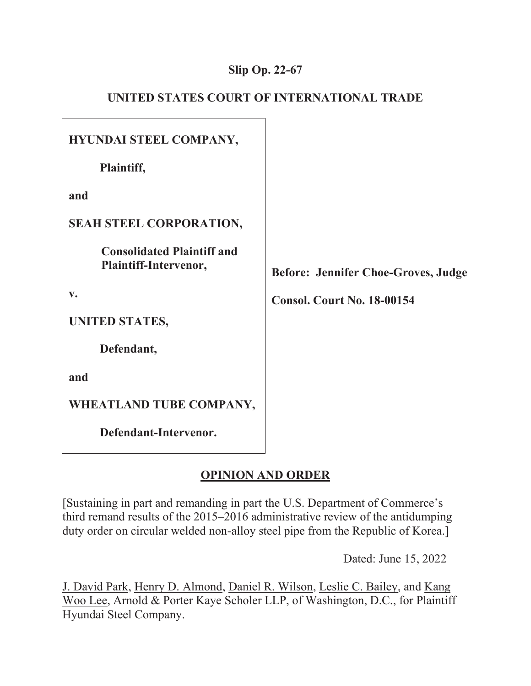## **Slip Op. 22-67**

| UNITED STATES COURT OF INTERNATIONAL TRADE |  |  |  |  |
|--------------------------------------------|--|--|--|--|
|--------------------------------------------|--|--|--|--|

| HYUNDAI STEEL COMPANY,                                     |                                            |
|------------------------------------------------------------|--------------------------------------------|
| Plaintiff,                                                 |                                            |
| and                                                        |                                            |
| <b>SEAH STEEL CORPORATION,</b>                             |                                            |
| <b>Consolidated Plaintiff and</b><br>Plaintiff-Intervenor, | <b>Before: Jennifer Choe-Groves, Judge</b> |
| $V_{\bullet}$                                              | <b>Consol. Court No. 18-00154</b>          |
| <b>UNITED STATES,</b>                                      |                                            |
| Defendant,                                                 |                                            |
| and                                                        |                                            |
| WHEATLAND TUBE COMPANY,                                    |                                            |
| Defendant-Intervenor.                                      |                                            |

# **OPINION AND ORDER**

[Sustaining in part and remanding in part the U.S. Department of Commerce's third remand results of the 2015–2016 administrative review of the antidumping duty order on circular welded non-alloy steel pipe from the Republic of Korea.]

Dated: June 15, 2022

J. David Park, Henry D. Almond, Daniel R. Wilson, Leslie C. Bailey, and Kang Woo Lee, Arnold & Porter Kaye Scholer LLP, of Washington, D.C., for Plaintiff Hyundai Steel Company.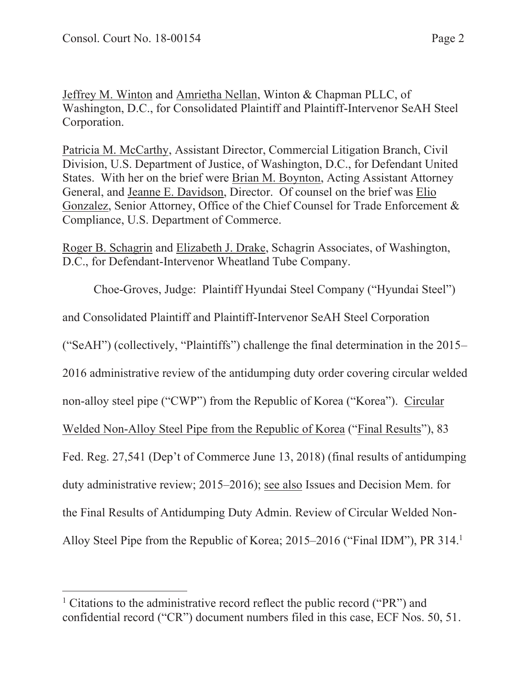Jeffrey M. Winton and Amrietha Nellan, Winton & Chapman PLLC, of Washington, D.C., for Consolidated Plaintiff and Plaintiff-Intervenor SeAH Steel Corporation.

Patricia M. McCarthy, Assistant Director, Commercial Litigation Branch, Civil Division, U.S. Department of Justice, of Washington, D.C., for Defendant United States. With her on the brief were Brian M. Boynton, Acting Assistant Attorney General, and Jeanne E. Davidson, Director. Of counsel on the brief was Elio Gonzalez, Senior Attorney, Office of the Chief Counsel for Trade Enforcement & Compliance, U.S. Department of Commerce.

Roger B. Schagrin and Elizabeth J. Drake, Schagrin Associates, of Washington, D.C., for Defendant-Intervenor Wheatland Tube Company.

Choe-Groves, Judge: Plaintiff Hyundai Steel Company ("Hyundai Steel") and Consolidated Plaintiff and Plaintiff-Intervenor SeAH Steel Corporation ("SeAH") (collectively, "Plaintiffs") challenge the final determination in the 2015– 2016 administrative review of the antidumping duty order covering circular welded non-alloy steel pipe ("CWP") from the Republic of Korea ("Korea"). Circular Welded Non-Alloy Steel Pipe from the Republic of Korea ("Final Results"), 83 Fed. Reg. 27,541 (Dep't of Commerce June 13, 2018) (final results of antidumping duty administrative review; 2015–2016); see also Issues and Decision Mem. for the Final Results of Antidumping Duty Admin. Review of Circular Welded Non-Alloy Steel Pipe from the Republic of Korea; 2015–2016 ("Final IDM"), PR 314.<sup>1</sup>

<sup>&</sup>lt;sup>1</sup> Citations to the administrative record reflect the public record ("PR") and confidential record ("CR") document numbers filed in this case, ECF Nos. 50, 51.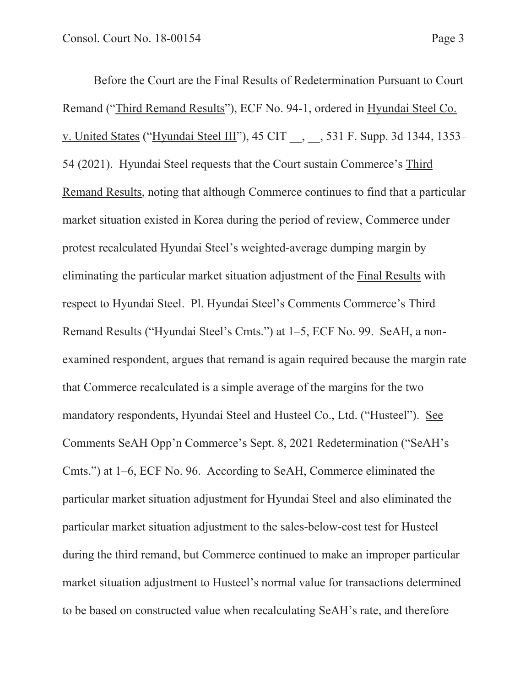Before the Court are the Final Results of Redetermination Pursuant to Court Remand ("Third Remand Results"), ECF No. 94-1, ordered in Hyundai Steel Co. v. United States ("Hyundai Steel III"), 45 CIT \_\_, \_\_, 531 F. Supp. 3d 1344, 1353– 54 (2021). Hyundai Steel requests that the Court sustain Commerce's Third Remand Results, noting that although Commerce continues to find that a particular market situation existed in Korea during the period of review, Commerce under protest recalculated Hyundai Steel's weighted-average dumping margin by eliminating the particular market situation adjustment of the Final Results with respect to Hyundai Steel. Pl. Hyundai Steel's Comments Commerce's Third Remand Results ("Hyundai Steel's Cmts.") at 1–5, ECF No. 99. SeAH, a nonexamined respondent, argues that remand is again required because the margin rate that Commerce recalculated is a simple average of the margins for the two mandatory respondents, Hyundai Steel and Husteel Co., Ltd. ("Husteel"). See Comments SeAH Opp'n Commerce's Sept. 8, 2021 Redetermination ("SeAH's Cmts.") at 1–6, ECF No. 96. According to SeAH, Commerce eliminated the particular market situation adjustment for Hyundai Steel and also eliminated the particular market situation adjustment to the sales-below-cost test for Husteel during the third remand, but Commerce continued to make an improper particular market situation adjustment to Husteel's normal value for transactions determined to be based on constructed value when recalculating SeAH's rate, and therefore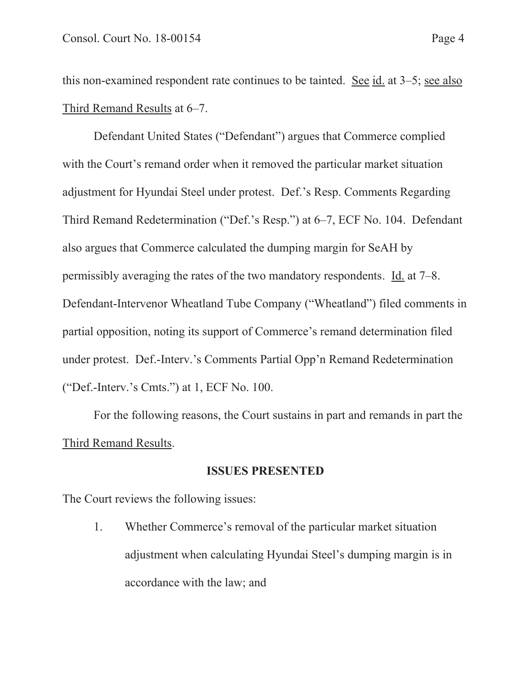this non-examined respondent rate continues to be tainted. See id. at 3–5; see also Third Remand Results at 6–7.

Defendant United States ("Defendant") argues that Commerce complied with the Court's remand order when it removed the particular market situation adjustment for Hyundai Steel under protest. Def.'s Resp. Comments Regarding Third Remand Redetermination ("Def.'s Resp.") at 6–7, ECF No. 104. Defendant also argues that Commerce calculated the dumping margin for SeAH by permissibly averaging the rates of the two mandatory respondents. Id. at 7–8. Defendant-Intervenor Wheatland Tube Company ("Wheatland") filed comments in partial opposition, noting its support of Commerce's remand determination filed under protest. Def.-Interv.'s Comments Partial Opp'n Remand Redetermination ("Def.-Interv.'s Cmts.") at 1, ECF No. 100.

For the following reasons, the Court sustains in part and remands in part the Third Remand Results.

## **ISSUES PRESENTED**

The Court reviews the following issues:

1. Whether Commerce's removal of the particular market situation adjustment when calculating Hyundai Steel's dumping margin is in accordance with the law; and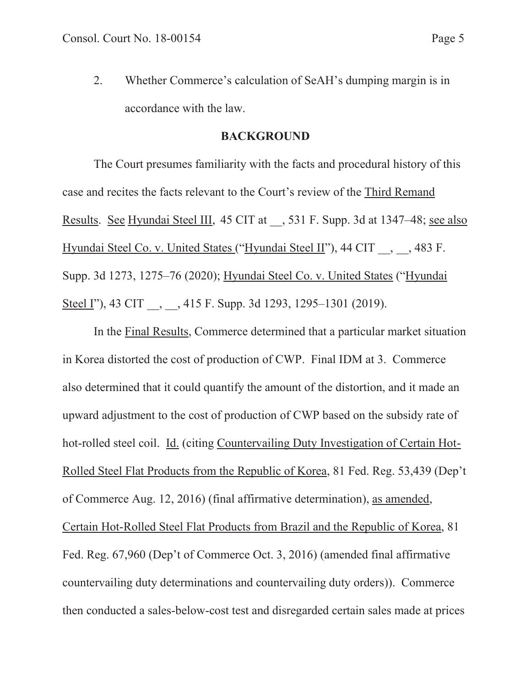2. Whether Commerce's calculation of SeAH's dumping margin is in accordance with the law.

#### **BACKGROUND**

The Court presumes familiarity with the facts and procedural history of this case and recites the facts relevant to the Court's review of the Third Remand Results. See Hyundai Steel III, 45 CIT at , 531 F. Supp. 3d at 1347–48; see also Hyundai Steel Co. v. United States ("Hyundai Steel II"), 44 CIT , 483 F. Supp. 3d 1273, 1275–76 (2020); Hyundai Steel Co. v. United States ("Hyundai Steel I"), 43 CIT , , 415 F. Supp. 3d 1293, 1295–1301 (2019).

In the Final Results, Commerce determined that a particular market situation in Korea distorted the cost of production of CWP. Final IDM at 3. Commerce also determined that it could quantify the amount of the distortion, and it made an upward adjustment to the cost of production of CWP based on the subsidy rate of hot-rolled steel coil. Id. (citing Countervailing Duty Investigation of Certain Hot-Rolled Steel Flat Products from the Republic of Korea, 81 Fed. Reg. 53,439 (Dep't of Commerce Aug. 12, 2016) (final affirmative determination), as amended, Certain Hot-Rolled Steel Flat Products from Brazil and the Republic of Korea, 81 Fed. Reg. 67,960 (Dep't of Commerce Oct. 3, 2016) (amended final affirmative countervailing duty determinations and countervailing duty orders)). Commerce then conducted a sales-below-cost test and disregarded certain sales made at prices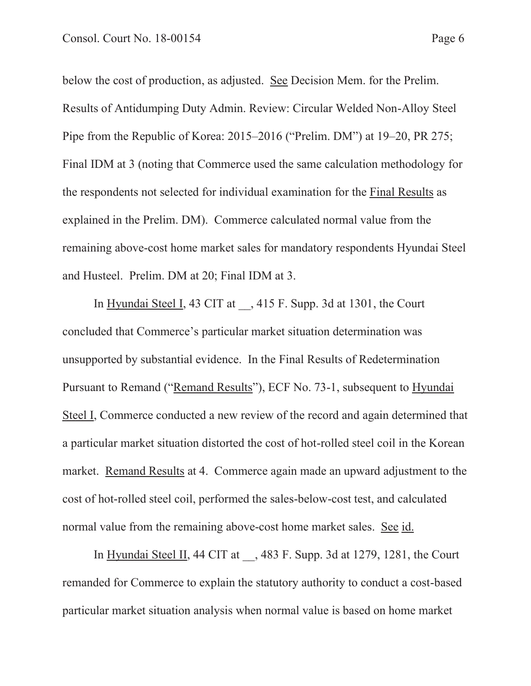below the cost of production, as adjusted. See Decision Mem. for the Prelim. Results of Antidumping Duty Admin. Review: Circular Welded Non-Alloy Steel Pipe from the Republic of Korea: 2015–2016 ("Prelim. DM") at 19–20, PR 275; Final IDM at 3 (noting that Commerce used the same calculation methodology for the respondents not selected for individual examination for the Final Results as explained in the Prelim. DM). Commerce calculated normal value from the remaining above-cost home market sales for mandatory respondents Hyundai Steel and Husteel. Prelim. DM at 20; Final IDM at 3.

In Hyundai Steel I, 43 CIT at , 415 F. Supp. 3d at 1301, the Court concluded that Commerce's particular market situation determination was unsupported by substantial evidence. In the Final Results of Redetermination Pursuant to Remand ("Remand Results"), ECF No. 73-1, subsequent to Hyundai Steel I, Commerce conducted a new review of the record and again determined that a particular market situation distorted the cost of hot-rolled steel coil in the Korean market. Remand Results at 4. Commerce again made an upward adjustment to the cost of hot-rolled steel coil, performed the sales-below-cost test, and calculated normal value from the remaining above-cost home market sales. See id.

In Hyundai Steel II, 44 CIT at , 483 F. Supp. 3d at 1279, 1281, the Court remanded for Commerce to explain the statutory authority to conduct a cost-based particular market situation analysis when normal value is based on home market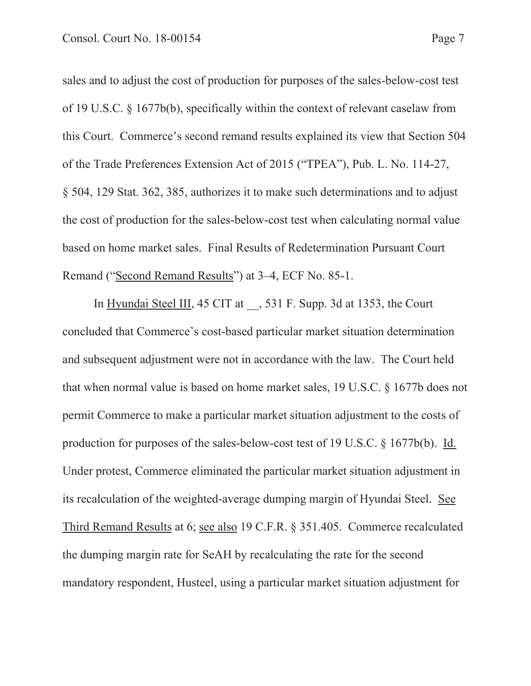sales and to adjust the cost of production for purposes of the sales-below-cost test of 19 U.S.C. § 1677b(b), specifically within the context of relevant caselaw from this Court. Commerce's second remand results explained its view that Section 504 of the Trade Preferences Extension Act of 2015 ("TPEA"), Pub. L. No. 114-27, § 504, 129 Stat. 362, 385, authorizes it to make such determinations and to adjust the cost of production for the sales-below-cost test when calculating normal value based on home market sales. Final Results of Redetermination Pursuant Court Remand ("Second Remand Results") at 3–4, ECF No. 85-1.

In Hyundai Steel III, 45 CIT at , 531 F. Supp. 3d at 1353, the Court concluded that Commerce's cost-based particular market situation determination and subsequent adjustment were not in accordance with the law. The Court held that when normal value is based on home market sales, 19 U.S.C. § 1677b does not permit Commerce to make a particular market situation adjustment to the costs of production for purposes of the sales-below-cost test of 19 U.S.C. § 1677b(b). Id. Under protest, Commerce eliminated the particular market situation adjustment in its recalculation of the weighted-average dumping margin of Hyundai Steel. See Third Remand Results at 6; see also 19 C.F.R. § 351.405. Commerce recalculated the dumping margin rate for SeAH by recalculating the rate for the second mandatory respondent, Husteel, using a particular market situation adjustment for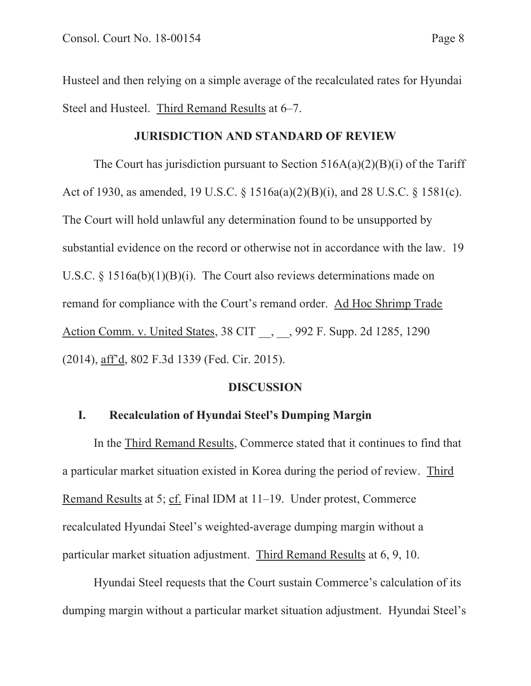Husteel and then relying on a simple average of the recalculated rates for Hyundai Steel and Husteel. Third Remand Results at 6–7.

#### **JURISDICTION AND STANDARD OF REVIEW**

The Court has jurisdiction pursuant to Section  $516A(a)(2)(B)(i)$  of the Tariff Act of 1930, as amended, 19 U.S.C. § 1516a(a)(2)(B)(i), and 28 U.S.C. § 1581(c). The Court will hold unlawful any determination found to be unsupported by substantial evidence on the record or otherwise not in accordance with the law. 19 U.S.C. § 1516a(b)(1)(B)(i). The Court also reviews determinations made on remand for compliance with the Court's remand order. Ad Hoc Shrimp Trade Action Comm. v. United States, 38 CIT , , 992 F. Supp. 2d 1285, 1290 (2014), aff'd, 802 F.3d 1339 (Fed. Cir. 2015).

#### **DISCUSSION**

#### **I. Recalculation of Hyundai Steel's Dumping Margin**

In the Third Remand Results, Commerce stated that it continues to find that a particular market situation existed in Korea during the period of review. Third Remand Results at 5; cf. Final IDM at 11–19. Under protest, Commerce recalculated Hyundai Steel's weighted-average dumping margin without a particular market situation adjustment. Third Remand Results at 6, 9, 10.

Hyundai Steel requests that the Court sustain Commerce's calculation of its dumping margin without a particular market situation adjustment. Hyundai Steel's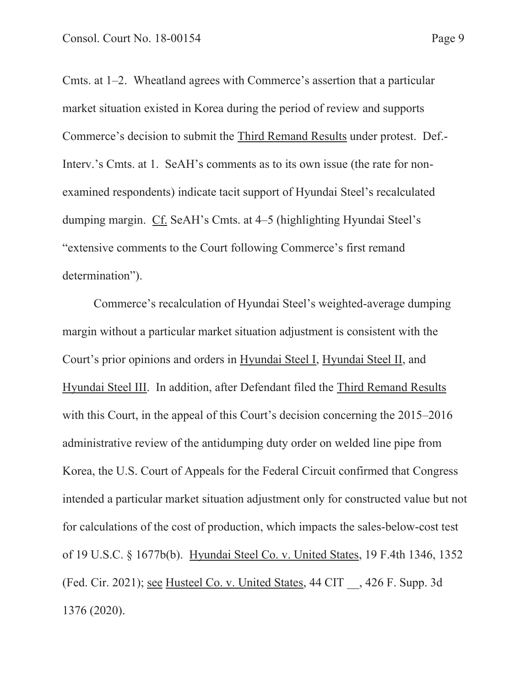Cmts. at 1–2. Wheatland agrees with Commerce's assertion that a particular market situation existed in Korea during the period of review and supports Commerce's decision to submit the Third Remand Results under protest. Def.- Interv.'s Cmts. at 1. SeAH's comments as to its own issue (the rate for nonexamined respondents) indicate tacit support of Hyundai Steel's recalculated dumping margin. Cf. SeAH's Cmts. at 4–5 (highlighting Hyundai Steel's "extensive comments to the Court following Commerce's first remand determination").

Commerce's recalculation of Hyundai Steel's weighted-average dumping margin without a particular market situation adjustment is consistent with the Court's prior opinions and orders in Hyundai Steel I, Hyundai Steel II, and Hyundai Steel III. In addition, after Defendant filed the Third Remand Results with this Court, in the appeal of this Court's decision concerning the 2015–2016 administrative review of the antidumping duty order on welded line pipe from Korea, the U.S. Court of Appeals for the Federal Circuit confirmed that Congress intended a particular market situation adjustment only for constructed value but not for calculations of the cost of production, which impacts the sales-below-cost test of 19 U.S.C. § 1677b(b). Hyundai Steel Co. v. United States, 19 F.4th 1346, 1352 (Fed. Cir. 2021); see Husteel Co. v. United States, 44 CIT \_\_, 426 F. Supp. 3d 1376 (2020).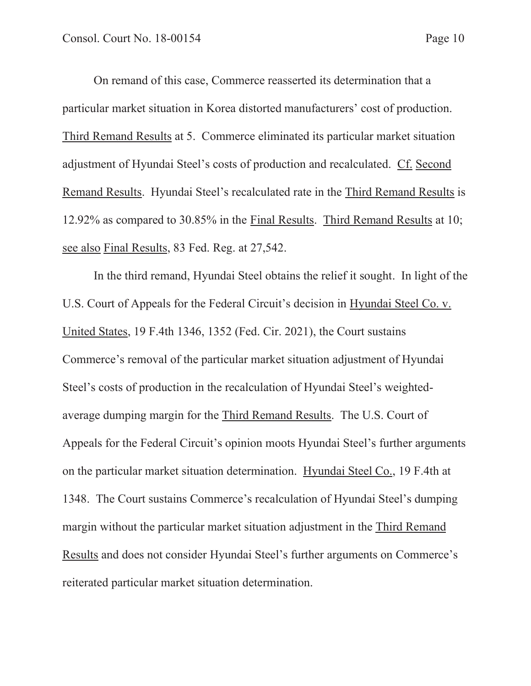On remand of this case, Commerce reasserted its determination that a particular market situation in Korea distorted manufacturers' cost of production. Third Remand Results at 5. Commerce eliminated its particular market situation adjustment of Hyundai Steel's costs of production and recalculated. Cf. Second Remand Results. Hyundai Steel's recalculated rate in the Third Remand Results is 12.92% as compared to 30.85% in the Final Results. Third Remand Results at 10; see also Final Results, 83 Fed. Reg. at 27,542.

In the third remand, Hyundai Steel obtains the relief it sought. In light of the U.S. Court of Appeals for the Federal Circuit's decision in Hyundai Steel Co. v. United States, 19 F.4th 1346, 1352 (Fed. Cir. 2021), the Court sustains Commerce's removal of the particular market situation adjustment of Hyundai Steel's costs of production in the recalculation of Hyundai Steel's weightedaverage dumping margin for the Third Remand Results. The U.S. Court of Appeals for the Federal Circuit's opinion moots Hyundai Steel's further arguments on the particular market situation determination. Hyundai Steel Co., 19 F.4th at 1348. The Court sustains Commerce's recalculation of Hyundai Steel's dumping margin without the particular market situation adjustment in the Third Remand Results and does not consider Hyundai Steel's further arguments on Commerce's reiterated particular market situation determination.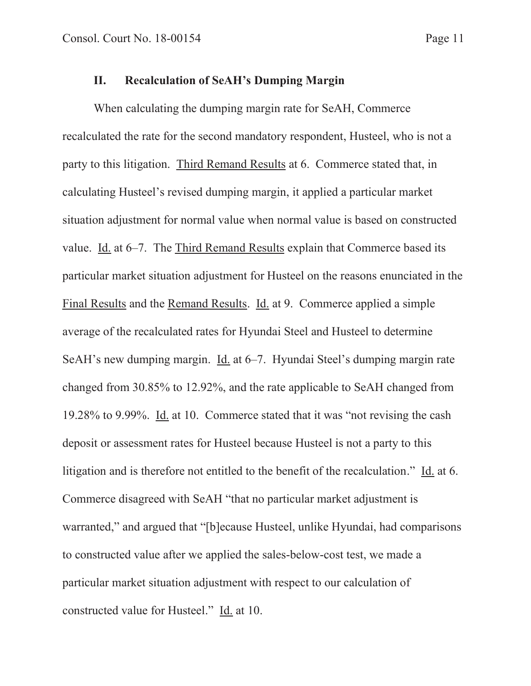## **II. Recalculation of SeAH's Dumping Margin**

When calculating the dumping margin rate for SeAH, Commerce recalculated the rate for the second mandatory respondent, Husteel, who is not a party to this litigation. Third Remand Results at 6. Commerce stated that, in calculating Husteel's revised dumping margin, it applied a particular market situation adjustment for normal value when normal value is based on constructed value. Id. at 6–7. The Third Remand Results explain that Commerce based its particular market situation adjustment for Husteel on the reasons enunciated in the Final Results and the Remand Results. Id. at 9. Commerce applied a simple average of the recalculated rates for Hyundai Steel and Husteel to determine SeAH's new dumping margin. Id. at 6–7. Hyundai Steel's dumping margin rate changed from 30.85% to 12.92%, and the rate applicable to SeAH changed from 19.28% to 9.99%. Id. at 10. Commerce stated that it was "not revising the cash deposit or assessment rates for Husteel because Husteel is not a party to this litigation and is therefore not entitled to the benefit of the recalculation." Id. at 6. Commerce disagreed with SeAH "that no particular market adjustment is warranted," and argued that "[b]ecause Husteel, unlike Hyundai, had comparisons to constructed value after we applied the sales-below-cost test, we made a particular market situation adjustment with respect to our calculation of constructed value for Husteel." Id. at 10.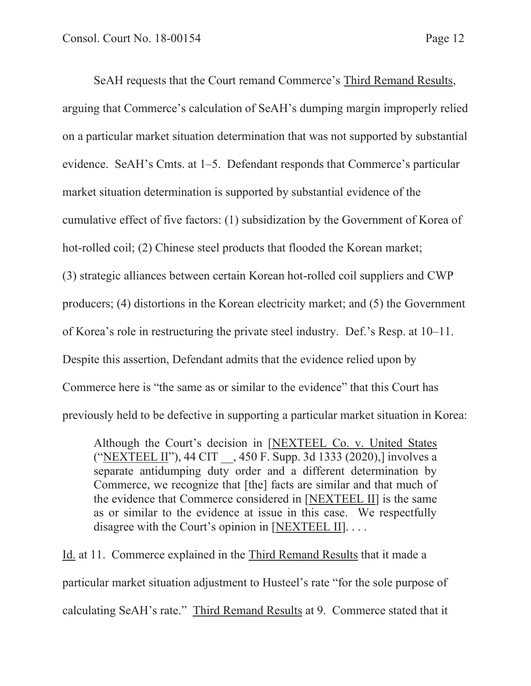SeAH requests that the Court remand Commerce's Third Remand Results, arguing that Commerce's calculation of SeAH's dumping margin improperly relied on a particular market situation determination that was not supported by substantial evidence. SeAH's Cmts. at 1–5. Defendant responds that Commerce's particular market situation determination is supported by substantial evidence of the cumulative effect of five factors: (1) subsidization by the Government of Korea of hot-rolled coil; (2) Chinese steel products that flooded the Korean market; (3) strategic alliances between certain Korean hot-rolled coil suppliers and CWP producers; (4) distortions in the Korean electricity market; and (5) the Government of Korea's role in restructuring the private steel industry. Def.'s Resp. at 10–11. Despite this assertion, Defendant admits that the evidence relied upon by Commerce here is "the same as or similar to the evidence" that this Court has previously held to be defective in supporting a particular market situation in Korea:

Although the Court's decision in [NEXTEEL Co. v. United States ("NEXTEEL II"), 44 CIT \_\_, 450 F. Supp. 3d 1333 (2020),] involves a separate antidumping duty order and a different determination by Commerce, we recognize that [the] facts are similar and that much of the evidence that Commerce considered in [NEXTEEL II] is the same as or similar to the evidence at issue in this case. We respectfully disagree with the Court's opinion in [NEXTEEL II]....

Id. at 11. Commerce explained in the Third Remand Results that it made a particular market situation adjustment to Husteel's rate "for the sole purpose of calculating SeAH's rate." Third Remand Results at 9. Commerce stated that it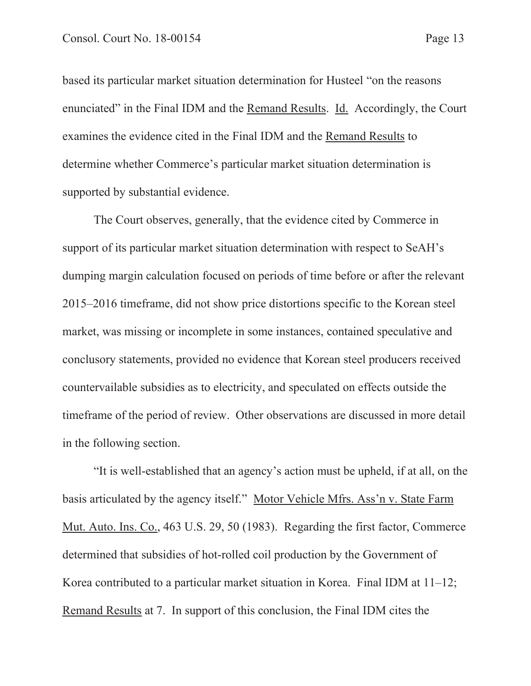based its particular market situation determination for Husteel "on the reasons enunciated" in the Final IDM and the Remand Results. Id. Accordingly, the Court examines the evidence cited in the Final IDM and the Remand Results to determine whether Commerce's particular market situation determination is supported by substantial evidence.

The Court observes, generally, that the evidence cited by Commerce in support of its particular market situation determination with respect to SeAH's dumping margin calculation focused on periods of time before or after the relevant 2015–2016 timeframe, did not show price distortions specific to the Korean steel market, was missing or incomplete in some instances, contained speculative and conclusory statements, provided no evidence that Korean steel producers received countervailable subsidies as to electricity, and speculated on effects outside the timeframe of the period of review. Other observations are discussed in more detail in the following section.

"It is well-established that an agency's action must be upheld, if at all, on the basis articulated by the agency itself." Motor Vehicle Mfrs. Ass'n v. State Farm Mut. Auto. Ins. Co., 463 U.S. 29, 50 (1983). Regarding the first factor, Commerce determined that subsidies of hot-rolled coil production by the Government of Korea contributed to a particular market situation in Korea. Final IDM at 11–12; Remand Results at 7. In support of this conclusion, the Final IDM cites the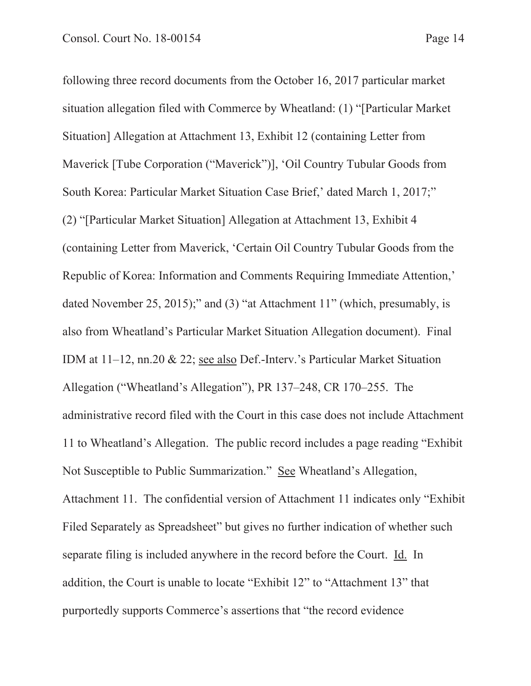following three record documents from the October 16, 2017 particular market situation allegation filed with Commerce by Wheatland: (1) "[Particular Market Situation] Allegation at Attachment 13, Exhibit 12 (containing Letter from Maverick [Tube Corporation ("Maverick")], 'Oil Country Tubular Goods from South Korea: Particular Market Situation Case Brief,' dated March 1, 2017;" (2) "[Particular Market Situation] Allegation at Attachment 13, Exhibit 4 (containing Letter from Maverick, 'Certain Oil Country Tubular Goods from the Republic of Korea: Information and Comments Requiring Immediate Attention,' dated November 25, 2015);" and (3) "at Attachment 11" (which, presumably, is also from Wheatland's Particular Market Situation Allegation document). Final IDM at 11–12, nn.20 & 22; see also Def.-Interv.'s Particular Market Situation Allegation ("Wheatland's Allegation"), PR 137–248, CR 170–255. The administrative record filed with the Court in this case does not include Attachment 11 to Wheatland's Allegation. The public record includes a page reading "Exhibit Not Susceptible to Public Summarization." See Wheatland's Allegation, Attachment 11. The confidential version of Attachment 11 indicates only "Exhibit Filed Separately as Spreadsheet" but gives no further indication of whether such separate filing is included anywhere in the record before the Court. Id. In addition, the Court is unable to locate "Exhibit 12" to "Attachment 13" that purportedly supports Commerce's assertions that "the record evidence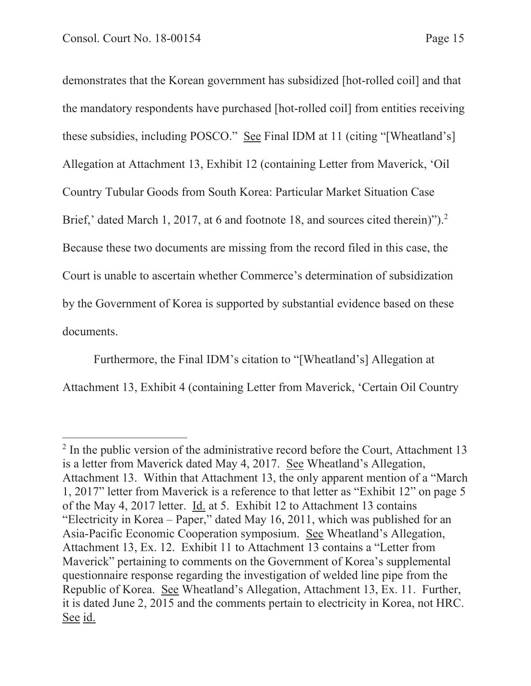demonstrates that the Korean government has subsidized [hot-rolled coil] and that the mandatory respondents have purchased [hot-rolled coil] from entities receiving these subsidies, including POSCO." See Final IDM at 11 (citing "[Wheatland's] Allegation at Attachment 13, Exhibit 12 (containing Letter from Maverick, 'Oil Country Tubular Goods from South Korea: Particular Market Situation Case Brief,' dated March 1, 2017, at 6 and footnote 18, and sources cited therein)").<sup>2</sup> Because these two documents are missing from the record filed in this case, the Court is unable to ascertain whether Commerce's determination of subsidization by the Government of Korea is supported by substantial evidence based on these documents.

Furthermore, the Final IDM's citation to "[Wheatland's] Allegation at Attachment 13, Exhibit 4 (containing Letter from Maverick, 'Certain Oil Country

<sup>&</sup>lt;sup>2</sup> In the public version of the administrative record before the Court, Attachment 13 is a letter from Maverick dated May 4, 2017. See Wheatland's Allegation, Attachment 13. Within that Attachment 13, the only apparent mention of a "March 1, 2017" letter from Maverick is a reference to that letter as "Exhibit 12" on page 5 of the May 4, 2017 letter. Id. at 5. Exhibit 12 to Attachment 13 contains "Electricity in Korea – Paper," dated May 16, 2011, which was published for an Asia-Pacific Economic Cooperation symposium. See Wheatland's Allegation, Attachment 13, Ex. 12. Exhibit 11 to Attachment 13 contains a "Letter from Maverick" pertaining to comments on the Government of Korea's supplemental questionnaire response regarding the investigation of welded line pipe from the Republic of Korea. See Wheatland's Allegation, Attachment 13, Ex. 11. Further, it is dated June 2, 2015 and the comments pertain to electricity in Korea, not HRC. See id.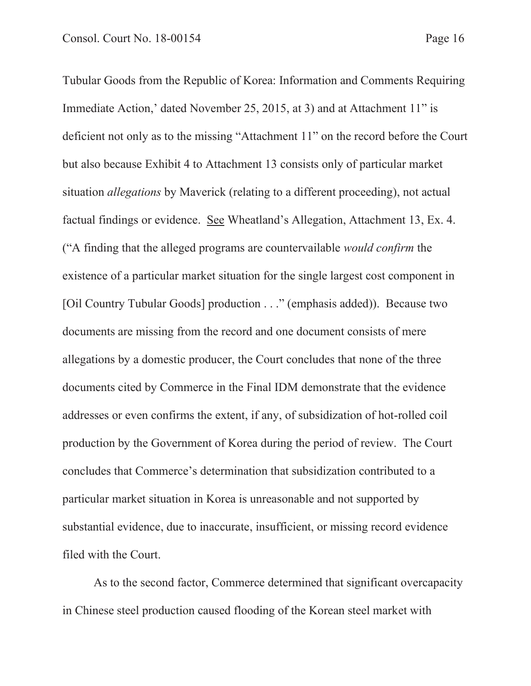Tubular Goods from the Republic of Korea: Information and Comments Requiring Immediate Action,' dated November 25, 2015, at 3) and at Attachment 11" is deficient not only as to the missing "Attachment 11" on the record before the Court but also because Exhibit 4 to Attachment 13 consists only of particular market situation *allegations* by Maverick (relating to a different proceeding), not actual factual findings or evidence. See Wheatland's Allegation, Attachment 13, Ex. 4. ("A finding that the alleged programs are countervailable *would confirm* the existence of a particular market situation for the single largest cost component in [Oil Country Tubular Goods] production . . ." (emphasis added)). Because two documents are missing from the record and one document consists of mere allegations by a domestic producer, the Court concludes that none of the three documents cited by Commerce in the Final IDM demonstrate that the evidence addresses or even confirms the extent, if any, of subsidization of hot-rolled coil production by the Government of Korea during the period of review. The Court concludes that Commerce's determination that subsidization contributed to a particular market situation in Korea is unreasonable and not supported by substantial evidence, due to inaccurate, insufficient, or missing record evidence filed with the Court.

As to the second factor, Commerce determined that significant overcapacity in Chinese steel production caused flooding of the Korean steel market with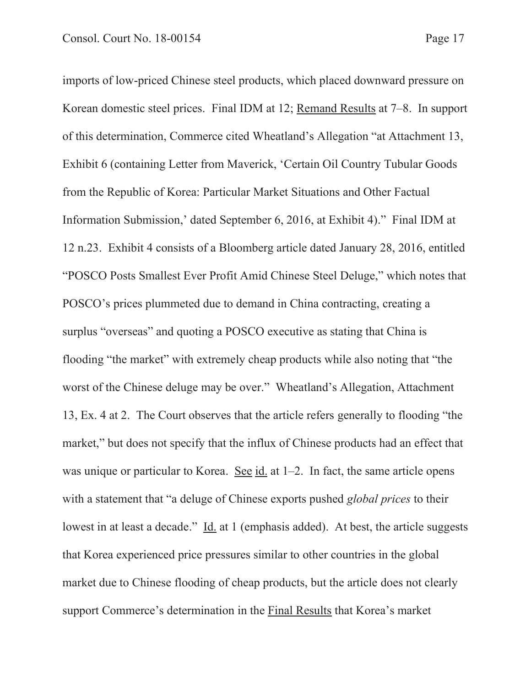imports of low-priced Chinese steel products, which placed downward pressure on Korean domestic steel prices. Final IDM at 12; Remand Results at 7–8. In support of this determination, Commerce cited Wheatland's Allegation "at Attachment 13, Exhibit 6 (containing Letter from Maverick, 'Certain Oil Country Tubular Goods from the Republic of Korea: Particular Market Situations and Other Factual Information Submission,' dated September 6, 2016, at Exhibit 4)." Final IDM at 12 n.23. Exhibit 4 consists of a Bloomberg article dated January 28, 2016, entitled "POSCO Posts Smallest Ever Profit Amid Chinese Steel Deluge," which notes that POSCO's prices plummeted due to demand in China contracting, creating a surplus "overseas" and quoting a POSCO executive as stating that China is flooding "the market" with extremely cheap products while also noting that "the worst of the Chinese deluge may be over." Wheatland's Allegation, Attachment 13, Ex. 4 at 2. The Court observes that the article refers generally to flooding "the market," but does not specify that the influx of Chinese products had an effect that was unique or particular to Korea. See id. at 1–2. In fact, the same article opens with a statement that "a deluge of Chinese exports pushed *global prices* to their lowest in at least a decade." Id. at 1 (emphasis added). At best, the article suggests that Korea experienced price pressures similar to other countries in the global market due to Chinese flooding of cheap products, but the article does not clearly support Commerce's determination in the Final Results that Korea's market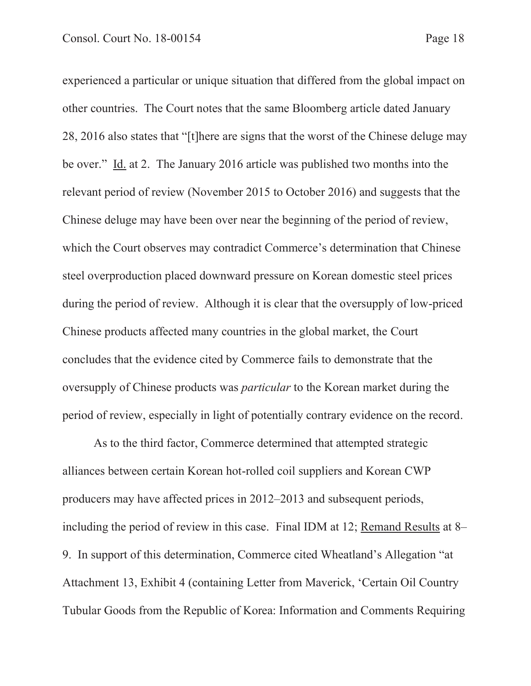experienced a particular or unique situation that differed from the global impact on other countries. The Court notes that the same Bloomberg article dated January 28, 2016 also states that "[t]here are signs that the worst of the Chinese deluge may be over." Id. at 2. The January 2016 article was published two months into the relevant period of review (November 2015 to October 2016) and suggests that the Chinese deluge may have been over near the beginning of the period of review, which the Court observes may contradict Commerce's determination that Chinese steel overproduction placed downward pressure on Korean domestic steel prices during the period of review. Although it is clear that the oversupply of low-priced Chinese products affected many countries in the global market, the Court concludes that the evidence cited by Commerce fails to demonstrate that the oversupply of Chinese products was *particular* to the Korean market during the period of review, especially in light of potentially contrary evidence on the record.

As to the third factor, Commerce determined that attempted strategic alliances between certain Korean hot-rolled coil suppliers and Korean CWP producers may have affected prices in 2012–2013 and subsequent periods, including the period of review in this case. Final IDM at 12; Remand Results at 8– 9. In support of this determination, Commerce cited Wheatland's Allegation "at Attachment 13, Exhibit 4 (containing Letter from Maverick, 'Certain Oil Country Tubular Goods from the Republic of Korea: Information and Comments Requiring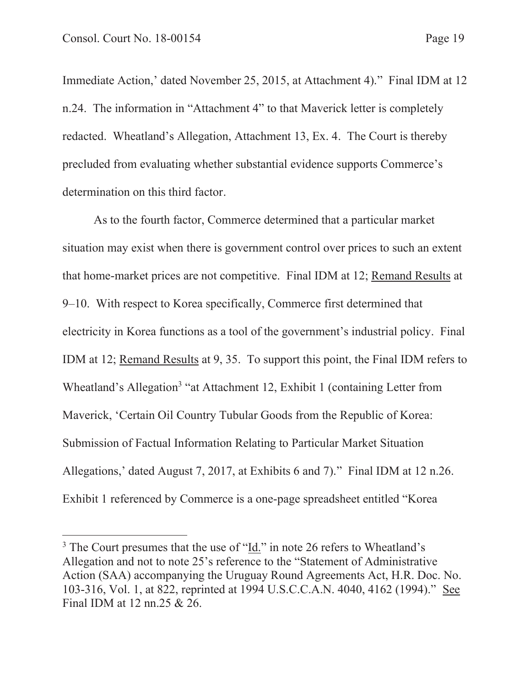Immediate Action,' dated November 25, 2015, at Attachment 4)." Final IDM at 12 n.24. The information in "Attachment 4" to that Maverick letter is completely redacted. Wheatland's Allegation, Attachment 13, Ex. 4. The Court is thereby precluded from evaluating whether substantial evidence supports Commerce's determination on this third factor.

As to the fourth factor, Commerce determined that a particular market situation may exist when there is government control over prices to such an extent that home-market prices are not competitive. Final IDM at 12; Remand Results at 9–10. With respect to Korea specifically, Commerce first determined that electricity in Korea functions as a tool of the government's industrial policy. Final IDM at 12; Remand Results at 9, 35. To support this point, the Final IDM refers to Wheatland's Allegation<sup>3</sup> "at Attachment 12, Exhibit 1 (containing Letter from Maverick, 'Certain Oil Country Tubular Goods from the Republic of Korea: Submission of Factual Information Relating to Particular Market Situation Allegations,' dated August 7, 2017, at Exhibits 6 and 7)." Final IDM at 12 n.26. Exhibit 1 referenced by Commerce is a one-page spreadsheet entitled "Korea

<sup>&</sup>lt;sup>3</sup> The Court presumes that the use of "Id." in note 26 refers to Wheatland's Allegation and not to note 25's reference to the "Statement of Administrative Action (SAA) accompanying the Uruguay Round Agreements Act, H.R. Doc. No. 103-316, Vol. 1, at 822, reprinted at 1994 U.S.C.C.A.N. 4040, 4162 (1994)." See Final IDM at 12 nn.25 & 26.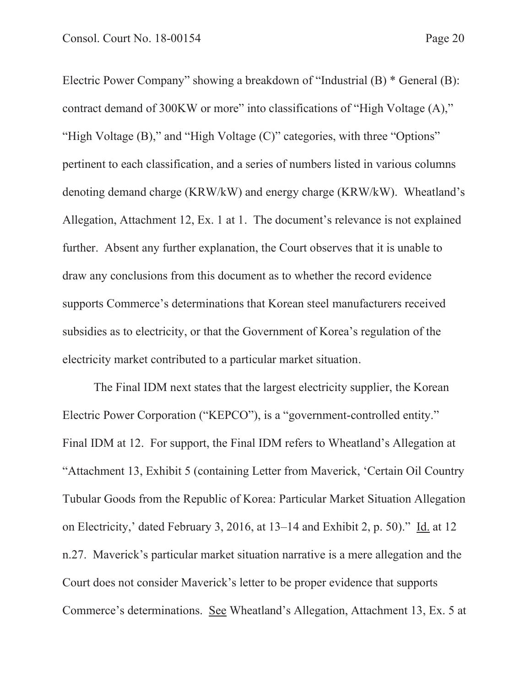Electric Power Company" showing a breakdown of "Industrial (B) \* General (B): contract demand of 300KW or more" into classifications of "High Voltage (A)," "High Voltage (B)," and "High Voltage (C)" categories, with three "Options" pertinent to each classification, and a series of numbers listed in various columns denoting demand charge (KRW/kW) and energy charge (KRW/kW). Wheatland's Allegation, Attachment 12, Ex. 1 at 1. The document's relevance is not explained further. Absent any further explanation, the Court observes that it is unable to draw any conclusions from this document as to whether the record evidence supports Commerce's determinations that Korean steel manufacturers received subsidies as to electricity, or that the Government of Korea's regulation of the electricity market contributed to a particular market situation.

The Final IDM next states that the largest electricity supplier, the Korean Electric Power Corporation ("KEPCO"), is a "government-controlled entity." Final IDM at 12. For support, the Final IDM refers to Wheatland's Allegation at "Attachment 13, Exhibit 5 (containing Letter from Maverick, 'Certain Oil Country Tubular Goods from the Republic of Korea: Particular Market Situation Allegation on Electricity,' dated February 3, 2016, at 13–14 and Exhibit 2, p. 50)." Id. at 12 n.27. Maverick's particular market situation narrative is a mere allegation and the Court does not consider Maverick's letter to be proper evidence that supports Commerce's determinations. See Wheatland's Allegation, Attachment 13, Ex. 5 at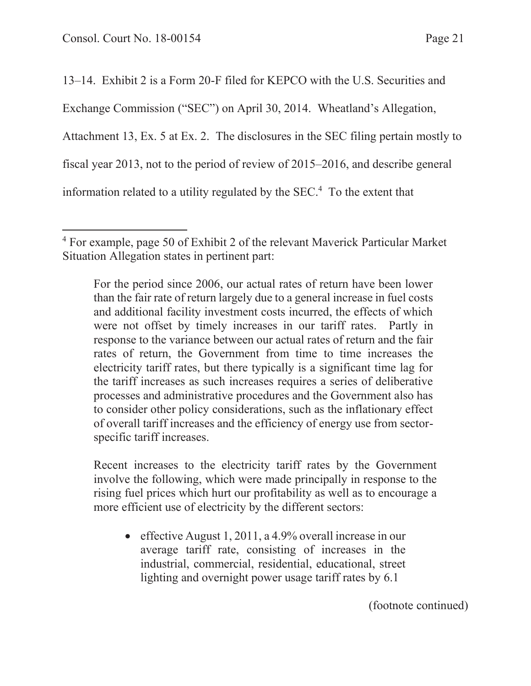13–14. Exhibit 2 is a Form 20-F filed for KEPCO with the U.S. Securities and Exchange Commission ("SEC") on April 30, 2014. Wheatland's Allegation, Attachment 13, Ex. 5 at Ex. 2. The disclosures in the SEC filing pertain mostly to fiscal year 2013, not to the period of review of 2015–2016, and describe general information related to a utility regulated by the SEC.4 To the extent that

For the period since 2006, our actual rates of return have been lower than the fair rate of return largely due to a general increase in fuel costs and additional facility investment costs incurred, the effects of which were not offset by timely increases in our tariff rates. Partly in response to the variance between our actual rates of return and the fair rates of return, the Government from time to time increases the electricity tariff rates, but there typically is a significant time lag for the tariff increases as such increases requires a series of deliberative processes and administrative procedures and the Government also has to consider other policy considerations, such as the inflationary effect of overall tariff increases and the efficiency of energy use from sectorspecific tariff increases.

Recent increases to the electricity tariff rates by the Government involve the following, which were made principally in response to the rising fuel prices which hurt our profitability as well as to encourage a more efficient use of electricity by the different sectors:

 $\bullet$  effective August 1, 2011, a 4.9% overall increase in our average tariff rate, consisting of increases in the industrial, commercial, residential, educational, street lighting and overnight power usage tariff rates by 6.1

(footnote continued)

<sup>4</sup> For example, page 50 of Exhibit 2 of the relevant Maverick Particular Market Situation Allegation states in pertinent part: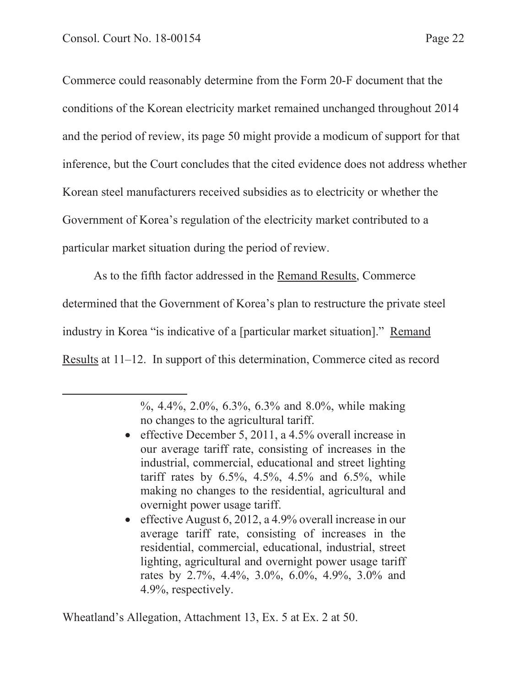Commerce could reasonably determine from the Form 20-F document that the conditions of the Korean electricity market remained unchanged throughout 2014 and the period of review, its page 50 might provide a modicum of support for that inference, but the Court concludes that the cited evidence does not address whether Korean steel manufacturers received subsidies as to electricity or whether the Government of Korea's regulation of the electricity market contributed to a particular market situation during the period of review.

As to the fifth factor addressed in the Remand Results, Commerce determined that the Government of Korea's plan to restructure the private steel industry in Korea "is indicative of a [particular market situation]." Remand Results at 11–12. In support of this determination, Commerce cited as record

- effective December 5, 2011, a  $4.5\%$  overall increase in our average tariff rate, consisting of increases in the industrial, commercial, educational and street lighting tariff rates by 6.5%, 4.5%, 4.5% and 6.5%, while making no changes to the residential, agricultural and overnight power usage tariff.
- $\bullet$  effective August 6, 2012, a 4.9% overall increase in our average tariff rate, consisting of increases in the residential, commercial, educational, industrial, street lighting, agricultural and overnight power usage tariff rates by 2.7%, 4.4%, 3.0%, 6.0%, 4.9%, 3.0% and 4.9%, respectively.

Wheatland's Allegation, Attachment 13, Ex. 5 at Ex. 2 at 50.

<sup>%, 4.4%, 2.0%, 6.3%, 6.3%</sup> and 8.0%, while making no changes to the agricultural tariff.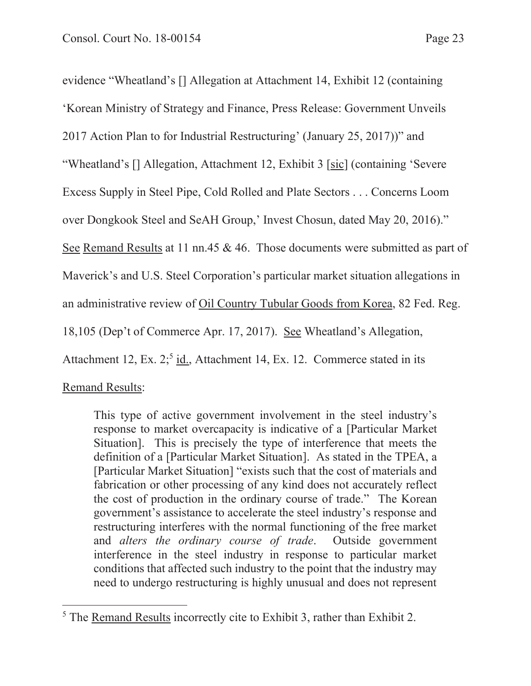evidence "Wheatland's [] Allegation at Attachment 14, Exhibit 12 (containing 'Korean Ministry of Strategy and Finance, Press Release: Government Unveils 2017 Action Plan to for Industrial Restructuring' (January 25, 2017))" and "Wheatland's [] Allegation, Attachment 12, Exhibit 3 [sic] (containing 'Severe Excess Supply in Steel Pipe, Cold Rolled and Plate Sectors . . . Concerns Loom over Dongkook Steel and SeAH Group,' Invest Chosun, dated May 20, 2016)." See Remand Results at 11 nn.45 & 46. Those documents were submitted as part of Maverick's and U.S. Steel Corporation's particular market situation allegations in an administrative review of Oil Country Tubular Goods from Korea, 82 Fed. Reg. 18,105 (Dep't of Commerce Apr. 17, 2017). See Wheatland's Allegation, Attachment 12, Ex.  $2$ ;<sup>5</sup> id., Attachment 14, Ex. 12. Commerce stated in its

Remand Results:

This type of active government involvement in the steel industry's response to market overcapacity is indicative of a [Particular Market Situation]. This is precisely the type of interference that meets the definition of a [Particular Market Situation]. As stated in the TPEA, a [Particular Market Situation] "exists such that the cost of materials and fabrication or other processing of any kind does not accurately reflect the cost of production in the ordinary course of trade." The Korean government's assistance to accelerate the steel industry's response and restructuring interferes with the normal functioning of the free market and *alters the ordinary course of trade*. Outside government interference in the steel industry in response to particular market conditions that affected such industry to the point that the industry may need to undergo restructuring is highly unusual and does not represent

<sup>5</sup> The Remand Results incorrectly cite to Exhibit 3, rather than Exhibit 2.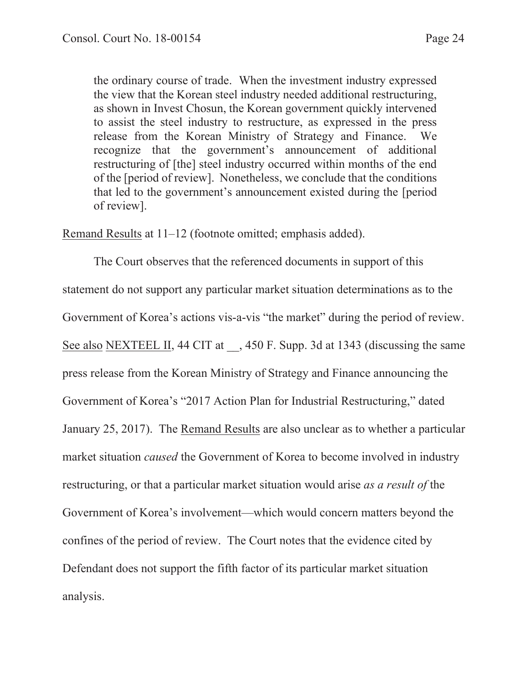the ordinary course of trade. When the investment industry expressed the view that the Korean steel industry needed additional restructuring, as shown in Invest Chosun, the Korean government quickly intervened to assist the steel industry to restructure, as expressed in the press release from the Korean Ministry of Strategy and Finance. We recognize that the government's announcement of additional restructuring of [the] steel industry occurred within months of the end of the [period of review]. Nonetheless, we conclude that the conditions that led to the government's announcement existed during the [period of review].

Remand Results at 11–12 (footnote omitted; emphasis added).

The Court observes that the referenced documents in support of this statement do not support any particular market situation determinations as to the Government of Korea's actions vis-a-vis "the market" during the period of review. See also NEXTEEL II, 44 CIT at  $\phantom{0}$ , 450 F. Supp. 3d at 1343 (discussing the same press release from the Korean Ministry of Strategy and Finance announcing the Government of Korea's "2017 Action Plan for Industrial Restructuring," dated January 25, 2017). The Remand Results are also unclear as to whether a particular market situation *caused* the Government of Korea to become involved in industry restructuring, or that a particular market situation would arise *as a result of* the Government of Korea's involvement—which would concern matters beyond the confines of the period of review. The Court notes that the evidence cited by Defendant does not support the fifth factor of its particular market situation analysis.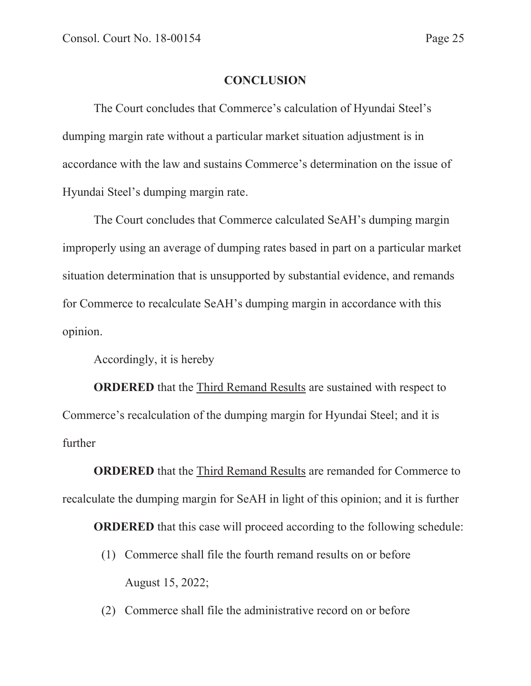### **CONCLUSION**

The Court concludes that Commerce's calculation of Hyundai Steel's dumping margin rate without a particular market situation adjustment is in accordance with the law and sustains Commerce's determination on the issue of Hyundai Steel's dumping margin rate.

The Court concludes that Commerce calculated SeAH's dumping margin improperly using an average of dumping rates based in part on a particular market situation determination that is unsupported by substantial evidence, and remands for Commerce to recalculate SeAH's dumping margin in accordance with this opinion.

Accordingly, it is hereby

**ORDERED** that the Third Remand Results are sustained with respect to Commerce's recalculation of the dumping margin for Hyundai Steel; and it is further

**ORDERED** that the Third Remand Results are remanded for Commerce to recalculate the dumping margin for SeAH in light of this opinion; and it is further

**ORDERED** that this case will proceed according to the following schedule:

- (1) Commerce shall file the fourth remand results on or before August 15, 2022;
- (2) Commerce shall file the administrative record on or before